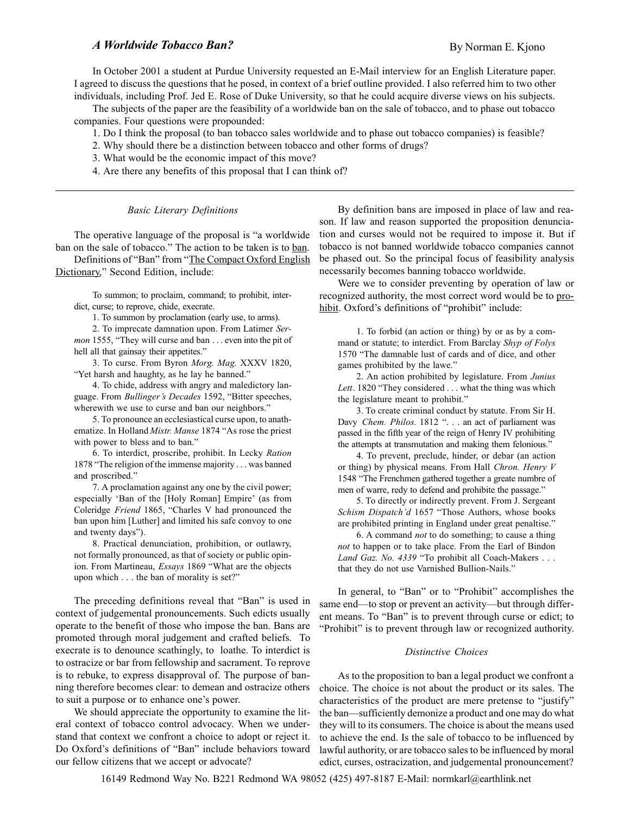# A Worldwide Tobacco Ban?

In October 2001 a student at Purdue University requested an E-Mail interview for an English Literature paper. I agreed to discuss the questions that he posed, in context of a brief outline provided. I also referred him to two other individuals, including Prof. Jed E. Rose of Duke University, so that he could acquire diverse views on his subjects.

The subjects of the paper are the feasibility of a worldwide ban on the sale of tobacco, and to phase out tobacco companies. Four questions were propounded:

- 1. Do I think the proposal (to ban tobacco sales worldwide and to phase out tobacco companies) is feasible?
- 2. Why should there be a distinction between tobacco and other forms of drugs?
- 3. What would be the economic impact of this move?

4. Are there any benefits of this proposal that I can think of?

Basic Literary Definitions

The operative language of the proposal is "a worldwide" ban on the sale of tobacco." The action to be taken is to ban. Definitions of "Ban" from "The Compact Oxford English Dictionary," Second Edition, include:

To summon; to proclaim, command; to prohibit, interdict, curse; to reprove, chide, execrate.

1. To summon by proclamation (early use, to arms).

2. To imprecate damnation upon. From Latimer Sermon 1555, "They will curse and ban . . . even into the pit of hell all that gainsay their appetites."

3. To curse. From Byron Morg. Mag. XXXV 1820, "Yet harsh and haughty, as he lay he banned."

4. To chide, address with angry and maledictory language. From Bullinger's Decades 1592, "Bitter speeches, wherewith we use to curse and ban our neighbors."

5. To pronounce an ecclesiastical curse upon, to anathematize. In Holland Mistr. Manse 1874 "As rose the priest with power to bless and to ban."

6. To interdict, proscribe, prohibit. In Lecky Ration 1878 "The religion of the immense majority . . . was banned and proscribed.

7. A proclamation against any one by the civil power; especially 'Ban of the [Holy Roman] Empire' (as from Coleridge Friend 1865, "Charles V had pronounced the ban upon him [Luther] and limited his safe convoy to one and twenty days").

8. Practical denunciation, prohibition, or outlawry, not formally pronounced, as that of society or public opinion. From Martineau, *Essays* 1869 "What are the objects upon which . . . the ban of morality is set?"

The preceding definitions reveal that "Ban" is used in context of judgemental pronouncements. Such edicts usually operate to the benefit of those who impose the ban. Bans are promoted through moral judgement and crafted beliefs. To execrate is to denounce scathingly, to loathe. To interdict is to ostracize or bar from fellowship and sacrament. To reprove is to rebuke, to express disapproval of. The purpose of banning therefore becomes clear: to demean and ostracize others to suit a purpose or to enhance one's power.

We should appreciate the opportunity to examine the literal context of tobacco control advocacy. When we understand that context we confront a choice to adopt or reject it. Do Oxford's definitions of "Ban" include behaviors toward our fellow citizens that we accept or advocate?

By definition bans are imposed in place of law and reason. If law and reason supported the proposition denunciation and curses would not be required to impose it. But if tobacco is not banned worldwide tobacco companies cannot be phased out. So the principal focus of feasibility analysis necessarily becomes banning tobacco worldwide.

Were we to consider preventing by operation of law or recognized authority, the most correct word would be to prohibit. Oxford's definitions of "prohibit" include:

1. To forbid (an action or thing) by or as by a command or statute; to interdict. From Barclay Shyp of Folys 1570 "The damnable lust of cards and of dice, and other games prohibited by the lawe.

2. An action prohibited by legislature. From Junius Lett. 1820 "They considered  $\ldots$  what the thing was which the legislature meant to prohibit.

3. To create criminal conduct by statute. From Sir H. Davy Chem. Philos. 1812 ". . . an act of parliament was passed in the fifth year of the reign of Henry IV prohibiting the attempts at transmutation and making them felonious.

4. To prevent, preclude, hinder, or debar (an action or thing) by physical means. From Hall Chron. Henry V 1548 "The Frenchmen gathered together a greate numbre of men of warre, redy to defend and prohibite the passage.

5. To directly or indirectly prevent. From J. Sergeant Schism Dispatch'd 1657 "Those Authors, whose books are prohibited printing in England under great penaltise.

6. A command not to do something; to cause a thing not to happen or to take place. From the Earl of Bindon Land Gaz. No. 4339 "To prohibit all Coach-Makers . . . that they do not use Varnished Bullion-Nails.

In general, to "Ban" or to "Prohibit" accomplishes the same end—to stop or prevent an activity—but through different means. To "Ban" is to prevent through curse or edict; to "Prohibit" is to prevent through law or recognized authority.

#### Distinctive Choices

As to the proposition to ban a legal product we confront a choice. The choice is not about the product or its sales. The characteristics of the product are mere pretense to "justify" the ban—sufficiently demonize a product and one may do what they will to its consumers. The choice is about the means used to achieve the end. Is the sale of tobacco to be influenced by lawful authority, or are tobacco sales to be influenced by moral edict, curses, ostracization, and judgemental pronouncement?

16149 Redmond Way No. B221 Redmond WA 98052 (425) 497-8187 E-Mail: normkarl@earthlink.net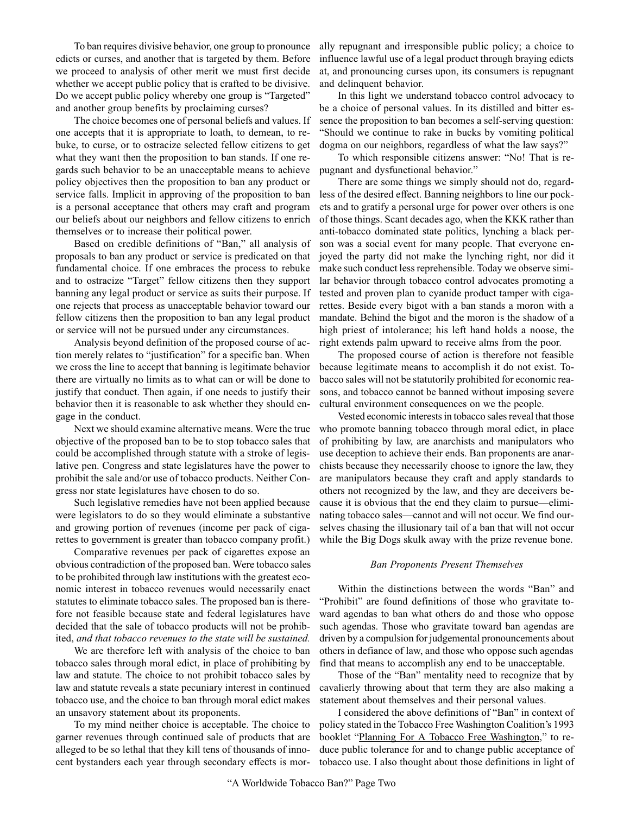To ban requires divisive behavior, one group to pronounce edicts or curses, and another that is targeted by them. Before we proceed to analysis of other merit we must first decide whether we accept public policy that is crafted to be divisive. Do we accept public policy whereby one group is "Targeted" and another group benefits by proclaiming curses?

The choice becomes one of personal beliefs and values. If one accepts that it is appropriate to loath, to demean, to rebuke, to curse, or to ostracize selected fellow citizens to get what they want then the proposition to ban stands. If one regards such behavior to be an unacceptable means to achieve policy objectives then the proposition to ban any product or service falls. Implicit in approving of the proposition to ban is a personal acceptance that others may craft and program our beliefs about our neighbors and fellow citizens to enrich themselves or to increase their political power.

Based on credible definitions of "Ban," all analysis of proposals to ban any product or service is predicated on that fundamental choice. If one embraces the process to rebuke and to ostracize "Target" fellow citizens then they support banning any legal product or service as suits their purpose. If one rejects that process as unacceptable behavior toward our fellow citizens then the proposition to ban any legal product or service will not be pursued under any circumstances.

Analysis beyond definition of the proposed course of action merely relates to "justification" for a specific ban. When we cross the line to accept that banning is legitimate behavior there are virtually no limits as to what can or will be done to justify that conduct. Then again, if one needs to justify their behavior then it is reasonable to ask whether they should engage in the conduct.

Next we should examine alternative means. Were the true objective of the proposed ban to be to stop tobacco sales that could be accomplished through statute with a stroke of legislative pen. Congress and state legislatures have the power to prohibit the sale and/or use of tobacco products. Neither Congress nor state legislatures have chosen to do so.

Such legislative remedies have not been applied because were legislators to do so they would eliminate a substantive and growing portion of revenues (income per pack of cigarettes to government is greater than tobacco company profit.)

Comparative revenues per pack of cigarettes expose an obvious contradiction of the proposed ban. Were tobacco sales to be prohibited through law institutions with the greatest economic interest in tobacco revenues would necessarily enact statutes to eliminate tobacco sales. The proposed ban is therefore not feasible because state and federal legislatures have decided that the sale of tobacco products will not be prohibited, and that tobacco revenues to the state will be sustained.

We are therefore left with analysis of the choice to ban tobacco sales through moral edict, in place of prohibiting by law and statute. The choice to not prohibit tobacco sales by law and statute reveals a state pecuniary interest in continued tobacco use, and the choice to ban through moral edict makes an unsavory statement about its proponents.

To my mind neither choice is acceptable. The choice to garner revenues through continued sale of products that are alleged to be so lethal that they kill tens of thousands of innocent bystanders each year through secondary effects is mor-

ally repugnant and irresponsible public policy; a choice to influence lawful use of a legal product through braying edicts at, and pronouncing curses upon, its consumers is repugnant and delinquent behavior.

In this light we understand tobacco control advocacy to be a choice of personal values. In its distilled and bitter essence the proposition to ban becomes a self-serving question: Should we continue to rake in bucks by vomiting political dogma on our neighbors, regardless of what the law says?

To which responsible citizens answer: "No! That is repugnant and dysfunctional behavior.

There are some things we simply should not do, regardless of the desired effect. Banning neighbors to line our pockets and to gratify a personal urge for power over others is one of those things. Scant decades ago, when the KKK rather than anti-tobacco dominated state politics, lynching a black person was a social event for many people. That everyone enjoyed the party did not make the lynching right, nor did it make such conduct less reprehensible. Today we observe similar behavior through tobacco control advocates promoting a tested and proven plan to cyanide product tamper with cigarettes. Beside every bigot with a ban stands a moron with a mandate. Behind the bigot and the moron is the shadow of a high priest of intolerance; his left hand holds a noose, the right extends palm upward to receive alms from the poor.

The proposed course of action is therefore not feasible because legitimate means to accomplish it do not exist. Tobacco sales will not be statutorily prohibited for economic reasons, and tobacco cannot be banned without imposing severe cultural environment consequences on we the people.

Vested economic interests in tobacco sales reveal that those who promote banning tobacco through moral edict, in place of prohibiting by law, are anarchists and manipulators who use deception to achieve their ends. Ban proponents are anarchists because they necessarily choose to ignore the law, they are manipulators because they craft and apply standards to others not recognized by the law, and they are deceivers because it is obvious that the end they claim to pursue—eliminating tobacco sales—cannot and will not occur. We find ourselves chasing the illusionary tail of a ban that will not occur while the Big Dogs skulk away with the prize revenue bone.

# Ban Proponents Present Themselves

Within the distinctions between the words "Ban" and "Prohibit" are found definitions of those who gravitate toward agendas to ban what others do and those who oppose such agendas. Those who gravitate toward ban agendas are driven by a compulsion for judgemental pronouncements about others in defiance of law, and those who oppose such agendas find that means to accomplish any end to be unacceptable.

Those of the "Ban" mentality need to recognize that by cavalierly throwing about that term they are also making a statement about themselves and their personal values.

I considered the above definitions of "Ban" in context of policy stated in the Tobacco Free Washington Coalition's 1993 booklet "Planning For A Tobacco Free Washington," to reduce public tolerance for and to change public acceptance of tobacco use. I also thought about those definitions in light of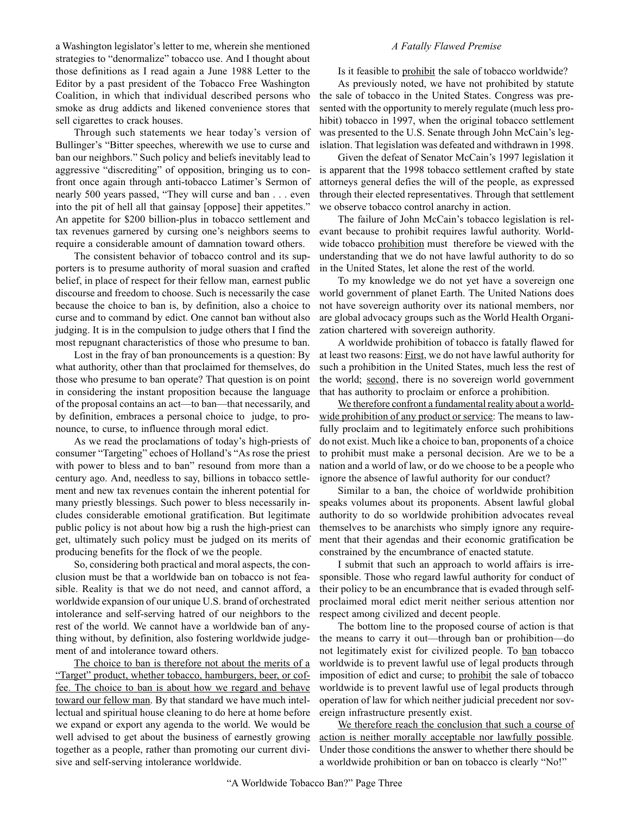a Washington legislator's letter to me, wherein she mentioned strategies to "denormalize" tobacco use. And I thought about those definitions as I read again a June 1988 Letter to the Editor by a past president of the Tobacco Free Washington Coalition, in which that individual described persons who smoke as drug addicts and likened convenience stores that sell cigarettes to crack houses.

Through such statements we hear today's version of Bullinger's "Bitter speeches, wherewith we use to curse and ban our neighbors." Such policy and beliefs inevitably lead to aggressive "discrediting" of opposition, bringing us to confront once again through anti-tobacco Latimer's Sermon of nearly 500 years passed, "They will curse and ban . . . even into the pit of hell all that gainsay [oppose] their appetites. An appetite for \$200 billion-plus in tobacco settlement and tax revenues garnered by cursing one's neighbors seems to require a considerable amount of damnation toward others.

The consistent behavior of tobacco control and its supporters is to presume authority of moral suasion and crafted belief, in place of respect for their fellow man, earnest public discourse and freedom to choose. Such is necessarily the case because the choice to ban is, by definition, also a choice to curse and to command by edict. One cannot ban without also judging. It is in the compulsion to judge others that I find the most repugnant characteristics of those who presume to ban.

Lost in the fray of ban pronouncements is a question: By what authority, other than that proclaimed for themselves, do those who presume to ban operate? That question is on point in considering the instant proposition because the language of the proposal contains an act—to ban—that necessarily, and by definition, embraces a personal choice to judge, to pronounce, to curse, to influence through moral edict.

As we read the proclamations of today's high-priests of consumer "Targeting" echoes of Holland's "As rose the priest" with power to bless and to ban" resound from more than a century ago. And, needless to say, billions in tobacco settlement and new tax revenues contain the inherent potential for many priestly blessings. Such power to bless necessarily includes considerable emotional gratification. But legitimate public policy is not about how big a rush the high-priest can get, ultimately such policy must be judged on its merits of producing benefits for the flock of we the people.

So, considering both practical and moral aspects, the conclusion must be that a worldwide ban on tobacco is not feasible. Reality is that we do not need, and cannot afford, a worldwide expansion of our unique U.S. brand of orchestrated intolerance and self-serving hatred of our neighbors to the rest of the world. We cannot have a worldwide ban of anything without, by definition, also fostering worldwide judgement of and intolerance toward others.

The choice to ban is therefore not about the merits of a "Target" product, whether tobacco, hamburgers, beer, or coffee. The choice to ban is about how we regard and behave toward our fellow man. By that standard we have much intellectual and spiritual house cleaning to do here at home before we expand or export any agenda to the world. We would be well advised to get about the business of earnestly growing together as a people, rather than promoting our current divisive and self-serving intolerance worldwide.

# A Fatally Flawed Premise

Is it feasible to prohibit the sale of tobacco worldwide?

As previously noted, we have not prohibited by statute the sale of tobacco in the United States. Congress was presented with the opportunity to merely regulate (much less prohibit) tobacco in 1997, when the original tobacco settlement was presented to the U.S. Senate through John McCain's legislation. That legislation was defeated and withdrawn in 1998.

Given the defeat of Senator McCain's 1997 legislation it is apparent that the 1998 tobacco settlement crafted by state attorneys general defies the will of the people, as expressed through their elected representatives. Through that settlement we observe tobacco control anarchy in action.

The failure of John McCain's tobacco legislation is relevant because to prohibit requires lawful authority. Worldwide tobacco prohibition must therefore be viewed with the understanding that we do not have lawful authority to do so in the United States, let alone the rest of the world.

To my knowledge we do not yet have a sovereign one world government of planet Earth. The United Nations does not have sovereign authority over its national members, nor are global advocacy groups such as the World Health Organization chartered with sovereign authority.

A worldwide prohibition of tobacco is fatally flawed for at least two reasons: First, we do not have lawful authority for such a prohibition in the United States, much less the rest of the world; second, there is no sovereign world government that has authority to proclaim or enforce a prohibition.

We therefore confront a fundamental reality about a worldwide prohibition of any product or service: The means to lawfully proclaim and to legitimately enforce such prohibitions do not exist. Much like a choice to ban, proponents of a choice to prohibit must make a personal decision. Are we to be a nation and a world of law, or do we choose to be a people who ignore the absence of lawful authority for our conduct?

Similar to a ban, the choice of worldwide prohibition speaks volumes about its proponents. Absent lawful global authority to do so worldwide prohibition advocates reveal themselves to be anarchists who simply ignore any requirement that their agendas and their economic gratification be constrained by the encumbrance of enacted statute.

I submit that such an approach to world affairs is irresponsible. Those who regard lawful authority for conduct of their policy to be an encumbrance that is evaded through selfproclaimed moral edict merit neither serious attention nor respect among civilized and decent people.

The bottom line to the proposed course of action is that the means to carry it out—through ban or prohibition—do not legitimately exist for civilized people. To ban tobacco worldwide is to prevent lawful use of legal products through imposition of edict and curse; to prohibit the sale of tobacco worldwide is to prevent lawful use of legal products through operation of law for which neither judicial precedent nor sovereign infrastructure presently exist.

We therefore reach the conclusion that such a course of action is neither morally acceptable nor lawfully possible. Under those conditions the answer to whether there should be a worldwide prohibition or ban on tobacco is clearly "No!"